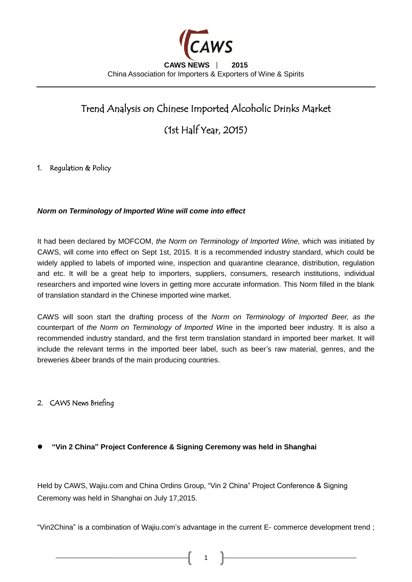

# Trend Analysis on Chinese Imported Alcoholic Drinks Market

(1st Half Year, 2015)

## 1. Regulation & Policy

#### *Norm on Terminology of Imported Wine will come into effect*

It had been declared by MOFCOM, *the Norm on Terminology of Imported Wine,* which was initiated by CAWS, will come into effect on Sept 1st, 2015. It is a recommended industry standard, which could be widely applied to labels of imported wine, inspection and quarantine clearance, distribution, regulation and etc. It will be a great help to importers, suppliers, consumers, research institutions, individual researchers and imported wine lovers in getting more accurate information. This Norm filled in the blank of translation standard in the Chinese imported wine market.

CAWS will soon start the drafting process of the *Norm on Terminology of Imported Beer, as the* counterpart of *the Norm on Terminology of Imported Wine* in the imported beer industry*.* It is also a recommended industry standard, and the first term translation standard in imported beer market. It will include the relevant terms in the imported beer label, such as beer's raw material, genres, and the breweries &beer brands of the main producing countries.

## 2. CAWS News Briefing

**"Vin 2 China" Project Conference & Signing Ceremony was held in Shanghai**

Held by CAWS, Wajiu.com and China Ordins Group, "Vin 2 China" Project Conference & Signing Ceremony was held in Shanghai on July 17,2015.

"Vin2China" is a combination of Wajiu.com's advantage in the current E- commerce development trend ;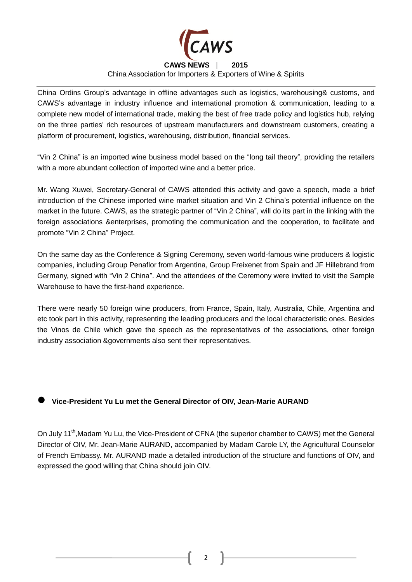

## **CAWS NEWS** ∣ **2015**

China Association for Importers & Exporters of Wine & Spirits

China Ordins Group's advantage in offline advantages such as logistics, warehousing& customs, and CAWS's advantage in industry influence and international promotion & communication, leading to a complete new model of international trade, making the best of free trade policy and logistics hub, relying on the three parties' rich resources of upstream manufacturers and downstream customers, creating a platform of procurement, logistics, warehousing, distribution, financial services.

"Vin 2 China" is an imported wine business model based on the "long tail theory", providing the retailers with a more abundant collection of imported wine and a better price.

Mr. Wang Xuwei, Secretary-General of CAWS attended this activity and gave a speech, made a brief introduction of the Chinese imported wine market situation and Vin 2 China's potential influence on the market in the future. CAWS, as the strategic partner of "Vin 2 China", will do its part in the linking with the foreign associations &enterprises, promoting the communication and the cooperation, to facilitate and promote "Vin 2 China" Project.

On the same day as the Conference & Signing Ceremony, seven world-famous wine producers & logistic companies, including Group Penaflor from Argentina, Group Freixenet from Spain and JF Hillebrand from Germany, signed with "Vin 2 China". And the attendees of the Ceremony were invited to visit the Sample Warehouse to have the first-hand experience.

There were nearly 50 foreign wine producers, from France, Spain, Italy, Australia, Chile, Argentina and etc took part in this activity, representing the leading producers and the local characteristic ones. Besides the Vinos de Chile which gave the speech as the representatives of the associations, other foreign industry association &governments also sent their representatives.

## **Vice-President Yu Lu met the General Director of OIV, Jean-Marie AURAND**

On July 11<sup>th</sup>, Madam Yu Lu, the Vice-President of CFNA (the superior chamber to CAWS) met the General Director of OIV, Mr. Jean-Marie AURAND, accompanied by Madam Carole LY, the Agricultural Counselor of French Embassy. Mr. AURAND made a detailed introduction of the structure and functions of OIV, and expressed the good willing that China should join OIV.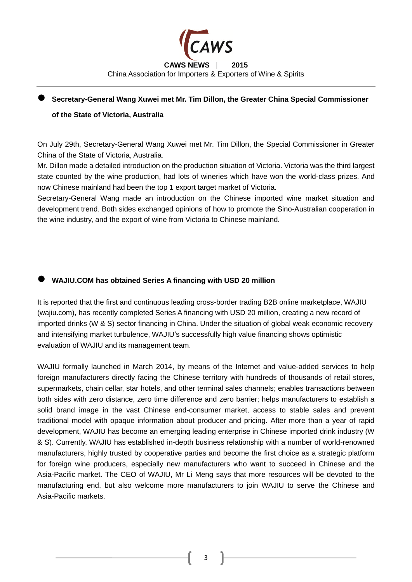

# **Secretary-General Wang Xuwei met Mr. Tim Dillon, the Greater China Special Commissioner**

### **of the State of Victoria, Australia**

On July 29th, Secretary-General Wang Xuwei met Mr. Tim Dillon, the Special Commissioner in Greater China of the State of Victoria, Australia.

Mr. Dillon made a detailed introduction on the production situation of Victoria. Victoria was the third largest state counted by the wine production, had lots of wineries which have won the world-class prizes. And now Chinese mainland had been the top 1 export target market of Victoria.

Secretary-General Wang made an introduction on the Chinese imported wine market situation and development trend. Both sides exchanged opinions of how to promote the Sino-Australian cooperation in the wine industry, and the export of wine from Victoria to Chinese mainland.

## **WAJIU.COM has obtained Series A financing with USD 20 million**

It is reported that the first and continuous leading cross-border trading B2B online marketplace, WAJIU (wajiu.com), has recently completed Series A financing with USD 20 million, creating a new record of imported drinks (W & S) sector financing in China. Under the situation of global weak economic recovery and intensifying market turbulence, WAJIU's successfully high value financing shows optimistic evaluation of WAJIU and its management team.

WAJIU formally launched in March 2014, by means of the Internet and value-added services to help foreign manufacturers directly facing the Chinese territory with hundreds of thousands of retail stores, supermarkets, chain cellar, star hotels, and other terminal sales channels; enables transactions between both sides with zero distance, zero time difference and zero barrier; helps manufacturers to establish a solid brand image in the vast Chinese end-consumer market, access to stable sales and prevent traditional model with opaque information about producer and pricing. After more than a year of rapid development, WAJIU has become an emerging leading enterprise in Chinese imported drink industry (W & S). Currently, WAJIU has established in-depth business relationship with a number of world-renowned manufacturers, highly trusted by cooperative parties and become the first choice as a strategic platform for foreign wine producers, especially new manufacturers who want to succeed in Chinese and the Asia-Pacific market. The CEO of WAJIU, Mr Li Meng says that more resources will be devoted to the manufacturing end, but also welcome more manufacturers to join WAJIU to serve the Chinese and Asia-Pacific markets.

3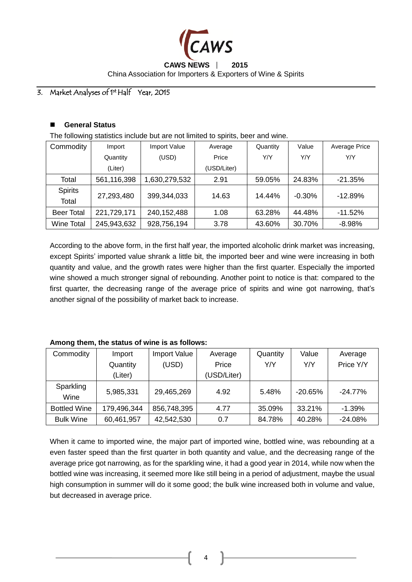

## **CAWS NEWS** ∣ **2015** China Association for Importers & Exporters of Wine & Spirits

#### 3. Market Analyses of 1<sup>st</sup> Half Year, 2015

#### **General Status**

The following statistics include but are not limited to spirits, beer and wine.

| Commodity         | Import      | Import Value  | Average     | Quantity | Value    | <b>Average Price</b> |  |
|-------------------|-------------|---------------|-------------|----------|----------|----------------------|--|
|                   | Quantity    | (USD)         | Price       | Y/Y      | Y/Y      | Y/Y                  |  |
|                   | (Liter)     |               | (USD/Liter) |          |          |                      |  |
| Total             | 561,116,398 | 1,630,279,532 | 2.91        | 59.05%   | 24.83%   | $-21.35%$            |  |
| <b>Spirits</b>    | 27,293,480  | 399,344,033   | 14.63       | 14.44%   | $-0.30%$ | $-12.89%$            |  |
| Total             |             |               |             |          |          |                      |  |
| <b>Beer Total</b> | 221,729,171 | 240, 152, 488 | 1.08        | 63.28%   | 44.48%   | $-11.52%$            |  |
| <b>Wine Total</b> | 245,943,632 | 928,756,194   | 3.78        | 43.60%   | 30.70%   | $-8.98%$             |  |

According to the above form, in the first half year, the imported alcoholic drink market was increasing, except Spirits' imported value shrank a little bit, the imported beer and wine were increasing in both quantity and value, and the growth rates were higher than the first quarter. Especially the imported wine showed a much stronger signal of rebounding. Another point to notice is that: compared to the first quarter, the decreasing range of the average price of spirits and wine got narrowing, that's another signal of the possibility of market back to increase.

#### **Among them, the status of wine is as follows:**

| Commodity           | Import Value<br>Import |             | Average     | Quantity | Value      | Average   |
|---------------------|------------------------|-------------|-------------|----------|------------|-----------|
|                     | Quantity               | (USD)       | Price       | Y/Y      | Y/Y        | Price Y/Y |
|                     | (Liter)                |             | (USD/Liter) |          |            |           |
| Sparkling<br>Wine   | 5,985,331              | 29,465,269  | 4.92        | 5.48%    | $-20.65\%$ | $-24.77%$ |
| <b>Bottled Wine</b> | 179,496,344            | 856,748,395 | 4.77        | 35.09%   | 33.21%     | $-1.39\%$ |
| <b>Bulk Wine</b>    | 60,461,957             | 42,542,530  | 0.7         | 84.78%   | 40.28%     | $-24.08%$ |

When it came to imported wine, the major part of imported wine, bottled wine, was rebounding at a even faster speed than the first quarter in both quantity and value, and the decreasing range of the average price got narrowing, as for the sparkling wine, it had a good year in 2014, while now when the bottled wine was increasing, it seemed more like still being in a period of adjustment, maybe the usual high consumption in summer will do it some good; the bulk wine increased both in volume and value, but decreased in average price.

4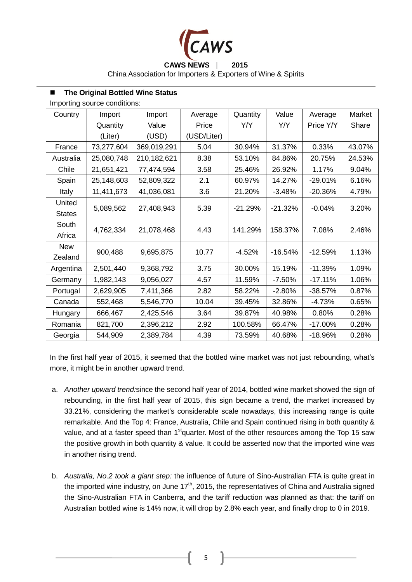

**CAWS NEWS** ∣ **2015**

China Association for Importers & Exporters of Wine & Spirits

#### ■ The Original Bottled Wine Status

Importing source conditions:

| Country       | Import     | Import      | Average     | Quantity  | Value     | Average    | Market |
|---------------|------------|-------------|-------------|-----------|-----------|------------|--------|
|               | Quantity   | Value       | Price       | Y/Y       | Y/Y       | Price Y/Y  | Share  |
|               | (Liter)    | (USD)       | (USD/Liter) |           |           |            |        |
| France        | 73,277,604 | 369,019,291 | 5.04        | 30.94%    | 31.37%    | 0.33%      | 43.07% |
| Australia     | 25,080,748 | 210,182,621 | 8.38        | 53.10%    | 84.86%    | 20.75%     | 24.53% |
| Chile         | 21,651,421 | 77,474,594  | 3.58        | 25.46%    | 26.92%    | 1.17%      | 9.04%  |
| Spain         | 25,148,603 | 52,809,322  | 2.1         | 60.97%    | 14.27%    | $-29.01%$  | 6.16%  |
| <b>Italy</b>  | 11,411,673 | 41,036,081  | 3.6         | 21.20%    | $-3.48%$  | $-20.36%$  | 4.79%  |
| United        | 5,089,562  | 27,408,943  | 5.39        | $-21.29%$ | $-21.32%$ | $-0.04%$   | 3.20%  |
| <b>States</b> |            |             |             |           |           |            |        |
| South         | 4,762,334  | 21,078,468  | 4.43        | 141.29%   | 158.37%   | 7.08%      | 2.46%  |
| Africa        |            |             |             |           |           |            |        |
| <b>New</b>    | 900,488    | 9,695,875   | 10.77       | $-4.52%$  | $-16.54%$ | $-12.59%$  | 1.13%  |
| Zealand       |            |             |             |           |           |            |        |
| Argentina     | 2,501,440  | 9,368,792   | 3.75        | 30.00%    | 15.19%    | $-11.39%$  | 1.09%  |
| Germany       | 1,982,143  | 9,056,027   | 4.57        | 11.59%    | $-7.50%$  | $-17.11%$  | 1.06%  |
| Portugal      | 2,629,905  | 7,411,366   | 2.82        | 58.22%    | $-2.80%$  | $-38.57%$  | 0.87%  |
| Canada        | 552,468    | 5,546,770   | 10.04       | 39.45%    | 32.86%    | $-4.73%$   | 0.65%  |
| Hungary       | 666,467    | 2,425,546   | 3.64        | 39.87%    | 40.98%    | 0.80%      | 0.28%  |
| Romania       | 821,700    | 2,396,212   | 2.92        | 100.58%   | 66.47%    | $-17.00\%$ | 0.28%  |
| Georgia       | 544,909    | 2,389,784   | 4.39        | 73.59%    | 40.68%    | $-18.96%$  | 0.28%  |

In the first half year of 2015, it seemed that the bottled wine market was not just rebounding, what's more, it might be in another upward trend.

- a. *Another upward trend:*since the second half year of 2014, bottled wine market showed the sign of rebounding, in the first half year of 2015, this sign became a trend, the market increased by 33.21%, considering the market's considerable scale nowadays, this increasing range is quite remarkable. And the Top 4: France, Australia, Chile and Spain continued rising in both quantity & value, and at a faster speed than  $1<sup>st</sup>$ quarter. Most of the other resources among the Top 15 saw the positive growth in both quantity & value. It could be asserted now that the imported wine was in another rising trend.
- b. *Australia, No.2 took a giant step:* the influence of future of Sino-Australian FTA is quite great in the imported wine industry, on June  $17<sup>th</sup>$ , 2015, the representatives of China and Australia signed the Sino-Australian FTA in Canberra, and the tariff reduction was planned as that: the tariff on Australian bottled wine is 14% now, it will drop by 2.8% each year, and finally drop to 0 in 2019.